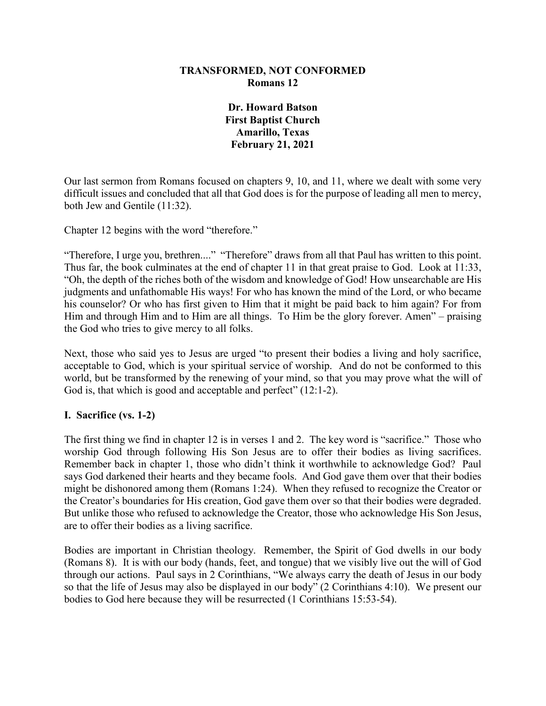## **TRANSFORMED, NOT CONFORMED Romans 12**

**Dr. Howard Batson First Baptist Church Amarillo, Texas February 21, 2021**

Our last sermon from Romans focused on chapters 9, 10, and 11, where we dealt with some very difficult issues and concluded that all that God does is for the purpose of leading all men to mercy, both Jew and Gentile (11:32).

Chapter 12 begins with the word "therefore."

"Therefore, I urge you, brethren...." "Therefore" draws from all that Paul has written to this point. Thus far, the book culminates at the end of chapter 11 in that great praise to God. Look at 11:33, "Oh, the depth of the riches both of the wisdom and knowledge of God! How unsearchable are His judgments and unfathomable His ways! For who has known the mind of the Lord, or who became his counselor? Or who has first given to Him that it might be paid back to him again? For from Him and through Him and to Him are all things. To Him be the glory forever. Amen" – praising the God who tries to give mercy to all folks.

Next, those who said yes to Jesus are urged "to present their bodies a living and holy sacrifice, acceptable to God, which is your spiritual service of worship. And do not be conformed to this world, but be transformed by the renewing of your mind, so that you may prove what the will of God is, that which is good and acceptable and perfect" (12:1-2).

#### **I. Sacrifice (vs. 1-2)**

The first thing we find in chapter 12 is in verses 1 and 2. The key word is "sacrifice." Those who worship God through following His Son Jesus are to offer their bodies as living sacrifices. Remember back in chapter 1, those who didn't think it worthwhile to acknowledge God? Paul says God darkened their hearts and they became fools. And God gave them over that their bodies might be dishonored among them (Romans 1:24). When they refused to recognize the Creator or the Creator's boundaries for His creation, God gave them over so that their bodies were degraded. But unlike those who refused to acknowledge the Creator, those who acknowledge His Son Jesus, are to offer their bodies as a living sacrifice.

Bodies are important in Christian theology. Remember, the Spirit of God dwells in our body (Romans 8). It is with our body (hands, feet, and tongue) that we visibly live out the will of God through our actions. Paul says in 2 Corinthians, "We always carry the death of Jesus in our body so that the life of Jesus may also be displayed in our body" (2 Corinthians 4:10). We present our bodies to God here because they will be resurrected (1 Corinthians 15:53-54).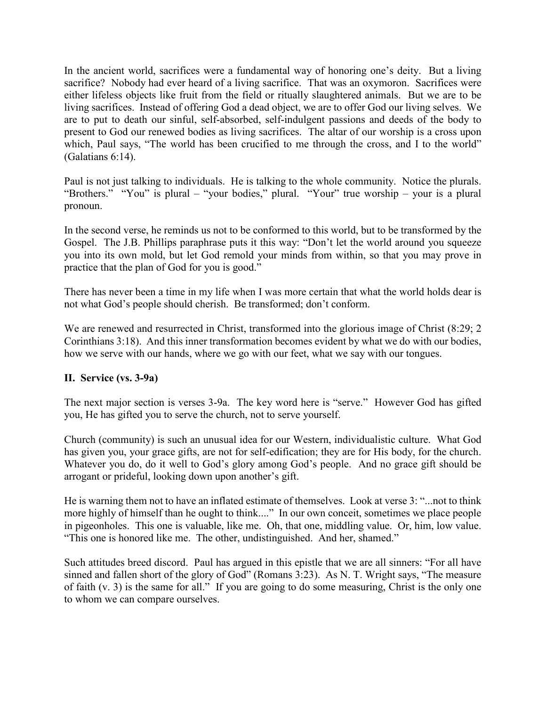In the ancient world, sacrifices were a fundamental way of honoring one's deity. But a living sacrifice? Nobody had ever heard of a living sacrifice. That was an oxymoron. Sacrifices were either lifeless objects like fruit from the field or ritually slaughtered animals. But we are to be living sacrifices. Instead of offering God a dead object, we are to offer God our living selves. We are to put to death our sinful, self-absorbed, self-indulgent passions and deeds of the body to present to God our renewed bodies as living sacrifices. The altar of our worship is a cross upon which, Paul says, "The world has been crucified to me through the cross, and I to the world" (Galatians 6:14).

Paul is not just talking to individuals. He is talking to the whole community. Notice the plurals. "Brothers." "You" is plural – "your bodies," plural. "Your" true worship – your is a plural pronoun.

In the second verse, he reminds us not to be conformed to this world, but to be transformed by the Gospel. The J.B. Phillips paraphrase puts it this way: "Don't let the world around you squeeze you into its own mold, but let God remold your minds from within, so that you may prove in practice that the plan of God for you is good."

There has never been a time in my life when I was more certain that what the world holds dear is not what God's people should cherish. Be transformed; don't conform.

We are renewed and resurrected in Christ, transformed into the glorious image of Christ (8:29; 2) Corinthians 3:18). And this inner transformation becomes evident by what we do with our bodies, how we serve with our hands, where we go with our feet, what we say with our tongues.

# **II. Service (vs. 3-9a)**

The next major section is verses 3-9a. The key word here is "serve." However God has gifted you, He has gifted you to serve the church, not to serve yourself.

Church (community) is such an unusual idea for our Western, individualistic culture. What God has given you, your grace gifts, are not for self-edification; they are for His body, for the church. Whatever you do, do it well to God's glory among God's people. And no grace gift should be arrogant or prideful, looking down upon another's gift.

He is warning them not to have an inflated estimate of themselves. Look at verse 3: "...not to think more highly of himself than he ought to think...." In our own conceit, sometimes we place people in pigeonholes. This one is valuable, like me. Oh, that one, middling value. Or, him, low value. "This one is honored like me. The other, undistinguished. And her, shamed."

Such attitudes breed discord. Paul has argued in this epistle that we are all sinners: "For all have sinned and fallen short of the glory of God" (Romans 3:23). As N. T. Wright says, "The measure of faith (v. 3) is the same for all." If you are going to do some measuring, Christ is the only one to whom we can compare ourselves.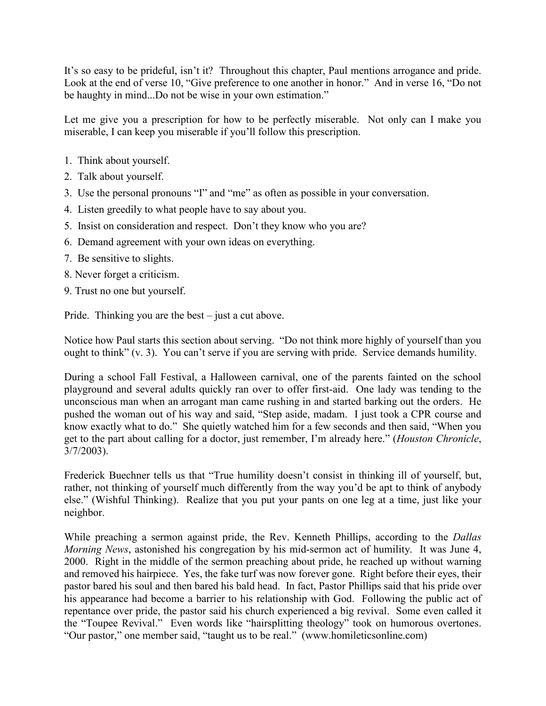It's so easy to be prideful, isn't it? Throughout this chapter, Paul mentions arrogance and pride. Look at the end of verse 10, "Give preference to one another in honor." And in verse 16, "Do not be haughty in mind...Do not be wise in your own estimation."

Let me give you a prescription for how to be perfectly miserable. Not only can I make you miserable, I can keep you miserable if you'll follow this prescription.

- 1. Think about yourself.
- 2. Talk about yourself.
- 3. Use the personal pronouns "I" and "me" as often as possible in your conversation.
- 4. Listen greedily to what people have to say about you.
- 5. Insist on consideration and respect. Don't they know who you are?
- 6. Demand agreement with your own ideas on everything.
- 7. Be sensitive to slights.
- 8. Never forget a criticism.
- 9. Trust no one but yourself.

Pride. Thinking you are the best – just a cut above.

Notice how Paul starts this section about serving. "Do not think more highly of yourself than you ought to think" (v. 3). You can't serve if you are serving with pride. Service demands humility.

During a school Fall Festival, a Halloween carnival, one of the parents fainted on the school playground and several adults quickly ran over to offer first-aid. One lady was tending to the unconscious man when an arrogant man came rushing in and started barking out the orders. He pushed the woman out of his way and said, "Step aside, madam. I just took a CPR course and know exactly what to do." She quietly watched him for a few seconds and then said, "When you get to the part about calling for a doctor, just remember, I'm already here." (*Houston Chronicle*, 3/7/2003).

Frederick Buechner tells us that "True humility doesn't consist in thinking ill of yourself, but, rather, not thinking of yourself much differently from the way you'd be apt to think of anybody else." (Wishful Thinking). Realize that you put your pants on one leg at a time, just like your neighbor.

While preaching a sermon against pride, the Rev. Kenneth Phillips, according to the *Dallas Morning News*, astonished his congregation by his mid-sermon act of humility. It was June 4, 2000. Right in the middle of the sermon preaching about pride, he reached up without warning and removed his hairpiece. Yes, the fake turf was now forever gone. Right before their eyes, their pastor bared his soul and then bared his bald head. In fact, Pastor Phillips said that his pride over his appearance had become a barrier to his relationship with God. Following the public act of repentance over pride, the pastor said his church experienced a big revival. Some even called it the "Toupee Revival." Even words like "hairsplitting theology" took on humorous overtones. "Our pastor," one member said, "taught us to be real." (www.homileticsonline.com)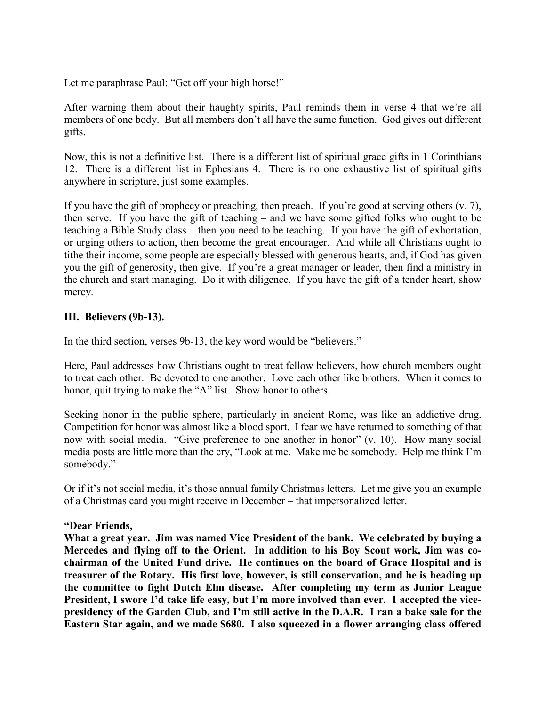Let me paraphrase Paul: "Get off your high horse!"

After warning them about their haughty spirits, Paul reminds them in verse 4 that we're all members of one body. But all members don't all have the same function. God gives out different gifts.

Now, this is not a definitive list. There is a different list of spiritual grace gifts in 1 Corinthians 12. There is a different list in Ephesians 4. There is no one exhaustive list of spiritual gifts anywhere in scripture, just some examples.

If you have the gift of prophecy or preaching, then preach. If you're good at serving others (v. 7), then serve. If you have the gift of teaching – and we have some gifted folks who ought to be teaching a Bible Study class – then you need to be teaching. If you have the gift of exhortation, or urging others to action, then become the great encourager. And while all Christians ought to tithe their income, some people are especially blessed with generous hearts, and, if God has given you the gift of generosity, then give. If you're a great manager or leader, then find a ministry in the church and start managing. Do it with diligence. If you have the gift of a tender heart, show mercy.

## **III. Believers (9b-13).**

In the third section, verses 9b-13, the key word would be "believers."

Here, Paul addresses how Christians ought to treat fellow believers, how church members ought to treat each other. Be devoted to one another. Love each other like brothers. When it comes to honor, quit trying to make the "A" list. Show honor to others.

Seeking honor in the public sphere, particularly in ancient Rome, was like an addictive drug. Competition for honor was almost like a blood sport. I fear we have returned to something of that now with social media. "Give preference to one another in honor" (v. 10). How many social media posts are little more than the cry, "Look at me. Make me be somebody. Help me think I'm somebody."

Or if it's not social media, it's those annual family Christmas letters. Let me give you an example of a Christmas card you might receive in December – that impersonalized letter.

#### **"Dear Friends,**

**What a great year. Jim was named Vice President of the bank. We celebrated by buying a Mercedes and flying off to the Orient. In addition to his Boy Scout work, Jim was cochairman of the United Fund drive. He continues on the board of Grace Hospital and is treasurer of the Rotary. His first love, however, is still conservation, and he is heading up the committee to fight Dutch Elm disease. After completing my term as Junior League President, I swore I'd take life easy, but I'm more involved than ever. I accepted the vicepresidency of the Garden Club, and I'm still active in the D.A.R. I ran a bake sale for the Eastern Star again, and we made \$680. I also squeezed in a flower arranging class offered**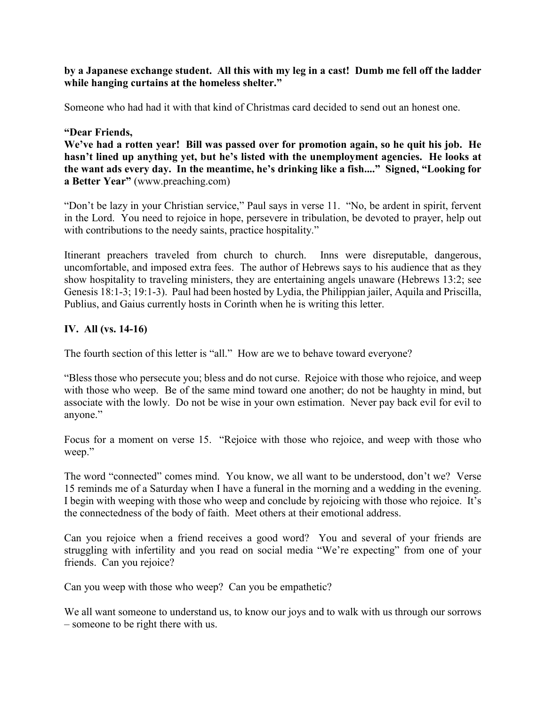## **by a Japanese exchange student. All this with my leg in a cast! Dumb me fell off the ladder while hanging curtains at the homeless shelter."**

Someone who had had it with that kind of Christmas card decided to send out an honest one.

### **"Dear Friends,**

**We've had a rotten year! Bill was passed over for promotion again, so he quit his job. He hasn't lined up anything yet, but he's listed with the unemployment agencies. He looks at the want ads every day. In the meantime, he's drinking like a fish...." Signed, "Looking for a Better Year"** (www.preaching.com)

"Don't be lazy in your Christian service," Paul says in verse 11. "No, be ardent in spirit, fervent in the Lord. You need to rejoice in hope, persevere in tribulation, be devoted to prayer, help out with contributions to the needy saints, practice hospitality."

Itinerant preachers traveled from church to church. Inns were disreputable, dangerous, uncomfortable, and imposed extra fees. The author of Hebrews says to his audience that as they show hospitality to traveling ministers, they are entertaining angels unaware (Hebrews 13:2; see Genesis 18:1-3; 19:1-3). Paul had been hosted by Lydia, the Philippian jailer, Aquila and Priscilla, Publius, and Gaius currently hosts in Corinth when he is writing this letter.

# **IV. All (vs. 14-16)**

The fourth section of this letter is "all." How are we to behave toward everyone?

"Bless those who persecute you; bless and do not curse. Rejoice with those who rejoice, and weep with those who weep. Be of the same mind toward one another; do not be haughty in mind, but associate with the lowly. Do not be wise in your own estimation. Never pay back evil for evil to anyone."

Focus for a moment on verse 15. "Rejoice with those who rejoice, and weep with those who weep."

The word "connected" comes mind. You know, we all want to be understood, don't we? Verse 15 reminds me of a Saturday when I have a funeral in the morning and a wedding in the evening. I begin with weeping with those who weep and conclude by rejoicing with those who rejoice. It's the connectedness of the body of faith. Meet others at their emotional address.

Can you rejoice when a friend receives a good word? You and several of your friends are struggling with infertility and you read on social media "We're expecting" from one of your friends. Can you rejoice?

Can you weep with those who weep? Can you be empathetic?

We all want someone to understand us, to know our joys and to walk with us through our sorrows – someone to be right there with us.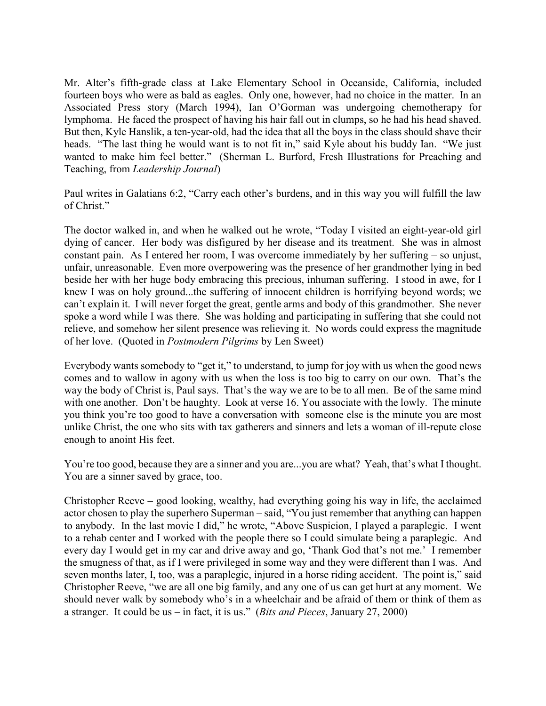Mr. Alter's fifth-grade class at Lake Elementary School in Oceanside, California, included fourteen boys who were as bald as eagles. Only one, however, had no choice in the matter. In an Associated Press story (March 1994), Ian O'Gorman was undergoing chemotherapy for lymphoma. He faced the prospect of having his hair fall out in clumps, so he had his head shaved. But then, Kyle Hanslik, a ten-year-old, had the idea that all the boys in the class should shave their heads. "The last thing he would want is to not fit in," said Kyle about his buddy Ian. "We just wanted to make him feel better." (Sherman L. Burford, Fresh Illustrations for Preaching and Teaching, from *Leadership Journal*)

Paul writes in Galatians 6:2, "Carry each other's burdens, and in this way you will fulfill the law of Christ."

The doctor walked in, and when he walked out he wrote, "Today I visited an eight-year-old girl dying of cancer. Her body was disfigured by her disease and its treatment. She was in almost constant pain. As I entered her room, I was overcome immediately by her suffering – so unjust, unfair, unreasonable. Even more overpowering was the presence of her grandmother lying in bed beside her with her huge body embracing this precious, inhuman suffering. I stood in awe, for I knew I was on holy ground...the suffering of innocent children is horrifying beyond words; we can't explain it. I will never forget the great, gentle arms and body of this grandmother. She never spoke a word while I was there. She was holding and participating in suffering that she could not relieve, and somehow her silent presence was relieving it. No words could express the magnitude of her love. (Quoted in *Postmodern Pilgrims* by Len Sweet)

Everybody wants somebody to "get it," to understand, to jump for joy with us when the good news comes and to wallow in agony with us when the loss is too big to carry on our own. That's the way the body of Christ is, Paul says. That's the way we are to be to all men. Be of the same mind with one another. Don't be haughty. Look at verse 16. You associate with the lowly. The minute you think you're too good to have a conversation with someone else is the minute you are most unlike Christ, the one who sits with tax gatherers and sinners and lets a woman of ill-repute close enough to anoint His feet.

You're too good, because they are a sinner and you are...you are what? Yeah, that's what I thought. You are a sinner saved by grace, too.

Christopher Reeve – good looking, wealthy, had everything going his way in life, the acclaimed actor chosen to play the superhero Superman – said, "You just remember that anything can happen to anybody. In the last movie I did," he wrote, "Above Suspicion, I played a paraplegic. I went to a rehab center and I worked with the people there so I could simulate being a paraplegic. And every day I would get in my car and drive away and go, 'Thank God that's not me.' I remember the smugness of that, as if I were privileged in some way and they were different than I was. And seven months later, I, too, was a paraplegic, injured in a horse riding accident. The point is," said Christopher Reeve, "we are all one big family, and any one of us can get hurt at any moment. We should never walk by somebody who's in a wheelchair and be afraid of them or think of them as a stranger. It could be us – in fact, it is us." (*Bits and Pieces*, January 27, 2000)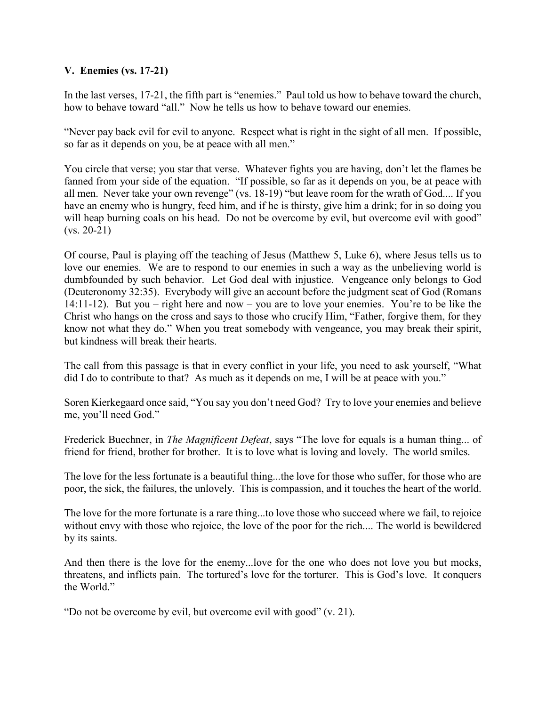# **V. Enemies (vs. 17-21)**

In the last verses, 17-21, the fifth part is "enemies." Paul told us how to behave toward the church, how to behave toward "all." Now he tells us how to behave toward our enemies.

"Never pay back evil for evil to anyone. Respect what is right in the sight of all men. If possible, so far as it depends on you, be at peace with all men."

You circle that verse; you star that verse. Whatever fights you are having, don't let the flames be fanned from your side of the equation. "If possible, so far as it depends on you, be at peace with all men. Never take your own revenge" (vs. 18-19) "but leave room for the wrath of God.... If you have an enemy who is hungry, feed him, and if he is thirsty, give him a drink; for in so doing you will heap burning coals on his head. Do not be overcome by evil, but overcome evil with good"  $(vs. 20-21)$ 

Of course, Paul is playing off the teaching of Jesus (Matthew 5, Luke 6), where Jesus tells us to love our enemies. We are to respond to our enemies in such a way as the unbelieving world is dumbfounded by such behavior. Let God deal with injustice. Vengeance only belongs to God (Deuteronomy 32:35). Everybody will give an account before the judgment seat of God (Romans 14:11-12). But you – right here and now – you are to love your enemies. You're to be like the Christ who hangs on the cross and says to those who crucify Him, "Father, forgive them, for they know not what they do." When you treat somebody with vengeance, you may break their spirit, but kindness will break their hearts.

The call from this passage is that in every conflict in your life, you need to ask yourself, "What did I do to contribute to that? As much as it depends on me, I will be at peace with you."

Soren Kierkegaard once said, "You say you don't need God? Try to love your enemies and believe me, you'll need God."

Frederick Buechner, in *The Magnificent Defeat*, says "The love for equals is a human thing... of friend for friend, brother for brother. It is to love what is loving and lovely. The world smiles.

The love for the less fortunate is a beautiful thing...the love for those who suffer, for those who are poor, the sick, the failures, the unlovely. This is compassion, and it touches the heart of the world.

The love for the more fortunate is a rare thing...to love those who succeed where we fail, to rejoice without envy with those who rejoice, the love of the poor for the rich.... The world is bewildered by its saints.

And then there is the love for the enemy...love for the one who does not love you but mocks, threatens, and inflicts pain. The tortured's love for the torturer. This is God's love. It conquers the World."

"Do not be overcome by evil, but overcome evil with good" (v. 21).